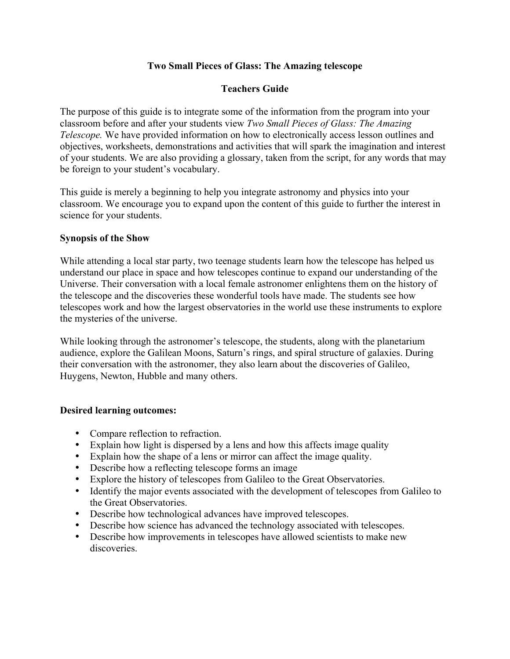## **Two Small Pieces of Glass: The Amazing telescope**

# **Teachers Guide**

The purpose of this guide is to integrate some of the information from the program into your classroom before and after your students view *Two Small Pieces of Glass: The Amazing Telescope.* We have provided information on how to electronically access lesson outlines and objectives, worksheets, demonstrations and activities that will spark the imagination and interest of your students. We are also providing a glossary, taken from the script, for any words that may be foreign to your student's vocabulary.

This guide is merely a beginning to help you integrate astronomy and physics into your classroom. We encourage you to expand upon the content of this guide to further the interest in science for your students.

#### **Synopsis of the Show**

While attending a local star party, two teenage students learn how the telescope has helped us understand our place in space and how telescopes continue to expand our understanding of the Universe. Their conversation with a local female astronomer enlightens them on the history of the telescope and the discoveries these wonderful tools have made. The students see how telescopes work and how the largest observatories in the world use these instruments to explore the mysteries of the universe.

While looking through the astronomer's telescope, the students, along with the planetarium audience, explore the Galilean Moons, Saturn's rings, and spiral structure of galaxies. During their conversation with the astronomer, they also learn about the discoveries of Galileo, Huygens, Newton, Hubble and many others.

## **Desired learning outcomes:**

- Compare reflection to refraction.
- Explain how light is dispersed by a lens and how this affects image quality
- Explain how the shape of a lens or mirror can affect the image quality.
- Describe how a reflecting telescope forms an image
- Explore the history of telescopes from Galileo to the Great Observatories.
- Identify the major events associated with the development of telescopes from Galileo to the Great Observatories.
- Describe how technological advances have improved telescopes.
- Describe how science has advanced the technology associated with telescopes.
- Describe how improvements in telescopes have allowed scientists to make new discoveries.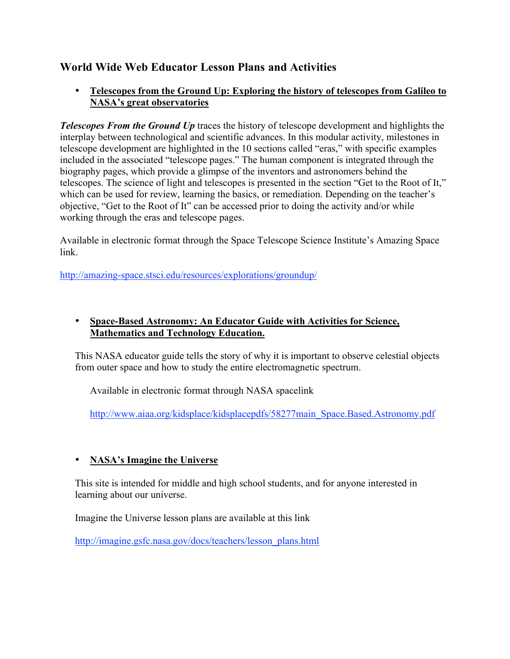# **World Wide Web Educator Lesson Plans and Activities**

# • **Telescopes from the Ground Up: Exploring the history of telescopes from Galileo to NASA's great observatories**

*Telescopes From the Ground Up* traces the history of telescope development and highlights the interplay between technological and scientific advances. In this modular activity, milestones in telescope development are highlighted in the 10 sections called "eras," with specific examples included in the associated "telescope pages." The human component is integrated through the biography pages, which provide a glimpse of the inventors and astronomers behind the telescopes. The science of light and telescopes is presented in the section "Get to the Root of It," which can be used for review, learning the basics, or remediation. Depending on the teacher's objective, "Get to the Root of It" can be accessed prior to doing the activity and/or while working through the eras and telescope pages.

Available in electronic format through the Space Telescope Science Institute's Amazing Space link.

http://amazing-space.stsci.edu/resources/explorations/groundup/

# • **Space-Based Astronomy: An Educator Guide with Activities for Science, Mathematics and Technology Education.**

This NASA educator guide tells the story of why it is important to observe celestial objects from outer space and how to study the entire electromagnetic spectrum.

Available in electronic format through NASA spacelink

http://www.aiaa.org/kidsplace/kidsplacepdfs/58277main\_Space.Based.Astronomy.pdf

# • **NASA's Imagine the Universe**

This site is intended for middle and high school students, and for anyone interested in learning about our universe.

Imagine the Universe lesson plans are available at this link

http://imagine.gsfc.nasa.gov/docs/teachers/lesson\_plans.html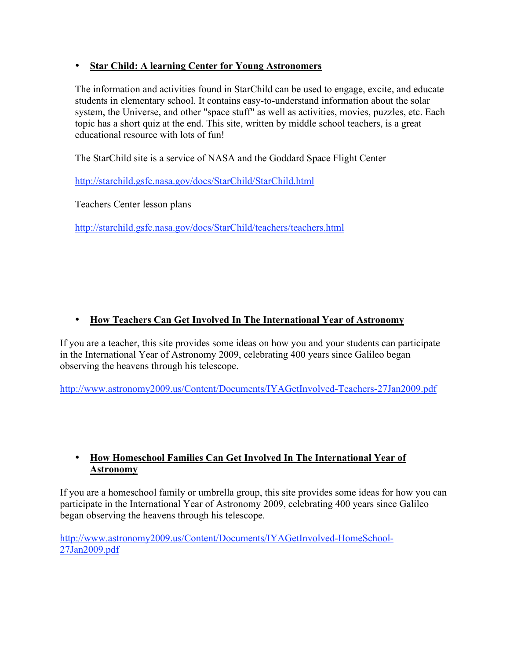# • **Star Child: A learning Center for Young Astronomers**

The information and activities found in StarChild can be used to engage, excite, and educate students in elementary school. It contains easy-to-understand information about the solar system, the Universe, and other "space stuff" as well as activities, movies, puzzles, etc. Each topic has a short quiz at the end. This site, written by middle school teachers, is a great educational resource with lots of fun!

The StarChild site is a service of NASA and the Goddard Space Flight Center

http://starchild.gsfc.nasa.gov/docs/StarChild/StarChild.html

Teachers Center lesson plans

http://starchild.gsfc.nasa.gov/docs/StarChild/teachers/teachers.html

# • **How Teachers Can Get Involved In The International Year of Astronomy**

If you are a teacher, this site provides some ideas on how you and your students can participate in the International Year of Astronomy 2009, celebrating 400 years since Galileo began observing the heavens through his telescope.

http://www.astronomy2009.us/Content/Documents/IYAGetInvolved-Teachers-27Jan2009.pdf

# • **How Homeschool Families Can Get Involved In The International Year of Astronomy**

If you are a homeschool family or umbrella group, this site provides some ideas for how you can participate in the International Year of Astronomy 2009, celebrating 400 years since Galileo began observing the heavens through his telescope.

http://www.astronomy2009.us/Content/Documents/IYAGetInvolved-HomeSchool-27Jan2009.pdf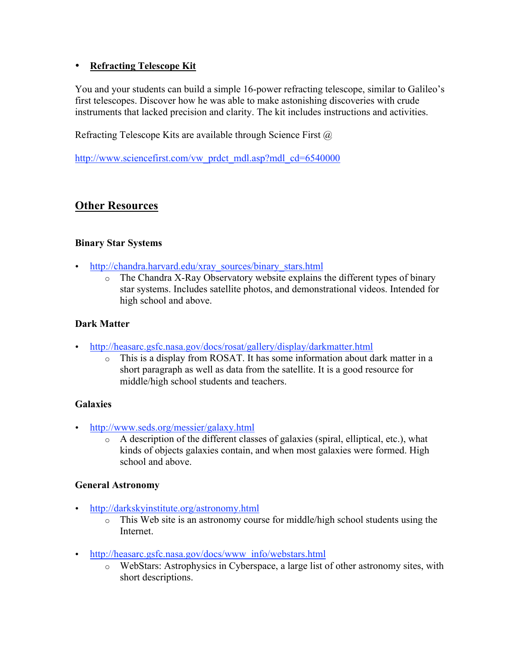# • **Refracting Telescope Kit**

You and your students can build a simple 16-power refracting telescope, similar to Galileo's first telescopes. Discover how he was able to make astonishing discoveries with crude instruments that lacked precision and clarity. The kit includes instructions and activities.

Refracting Telescope Kits are available through Science First  $\omega$ 

http://www.sciencefirst.com/vw\_prdct\_mdl.asp?mdl\_cd=6540000

# **Other Resources**

# **Binary Star Systems**

- http://chandra.harvard.edu/xray\_sources/binary\_stars.html
	- $\circ$  The Chandra X-Ray Observatory website explains the different types of binary star systems. Includes satellite photos, and demonstrational videos. Intended for high school and above.

# **Dark Matter**

- http://heasarc.gsfc.nasa.gov/docs/rosat/gallery/display/darkmatter.html
	- o This is a display from ROSAT. It has some information about dark matter in a short paragraph as well as data from the satellite. It is a good resource for middle/high school students and teachers.

## **Galaxies**

- http://www.seds.org/messier/galaxy.html
	- o A description of the different classes of galaxies (spiral, elliptical, etc.), what kinds of objects galaxies contain, and when most galaxies were formed. High school and above.

## **General Astronomy**

- http://darkskyinstitute.org/astronomy.html
	- o This Web site is an astronomy course for middle/high school students using the Internet.
- http://heasarc.gsfc.nasa.gov/docs/www\_info/webstars.html
	- o WebStars: Astrophysics in Cyberspace, a large list of other astronomy sites, with short descriptions.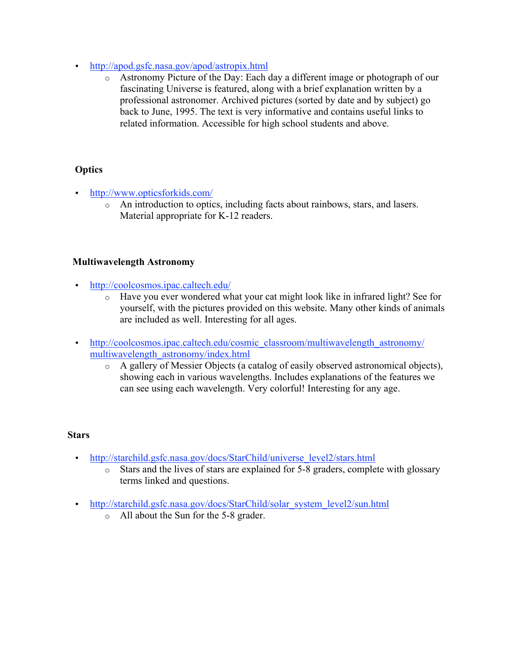- http://apod.gsfc.nasa.gov/apod/astropix.html
	- o Astronomy Picture of the Day: Each day a different image or photograph of our fascinating Universe is featured, along with a brief explanation written by a professional astronomer. Archived pictures (sorted by date and by subject) go back to June, 1995. The text is very informative and contains useful links to related information. Accessible for high school students and above.

# **Optics**

- http://www.opticsforkids.com/
	- o An introduction to optics, including facts about rainbows, stars, and lasers. Material appropriate for K-12 readers.

## **Multiwavelength Astronomy**

- http://coolcosmos.ipac.caltech.edu/
	- o Have you ever wondered what your cat might look like in infrared light? See for yourself, with the pictures provided on this website. Many other kinds of animals are included as well. Interesting for all ages.
- http://coolcosmos.ipac.caltech.edu/cosmic\_classroom/multiwavelength\_astronomy/ multiwavelength\_astronomy/index.html
	- o A gallery of Messier Objects (a catalog of easily observed astronomical objects), showing each in various wavelengths. Includes explanations of the features we can see using each wavelength. Very colorful! Interesting for any age.

## **Stars**

- http://starchild.gsfc.nasa.gov/docs/StarChild/universe\_level2/stars.html
	- o Stars and the lives of stars are explained for 5-8 graders, complete with glossary terms linked and questions.
- http://starchild.gsfc.nasa.gov/docs/StarChild/solar\_system\_level2/sun.html
	- o All about the Sun for the 5-8 grader.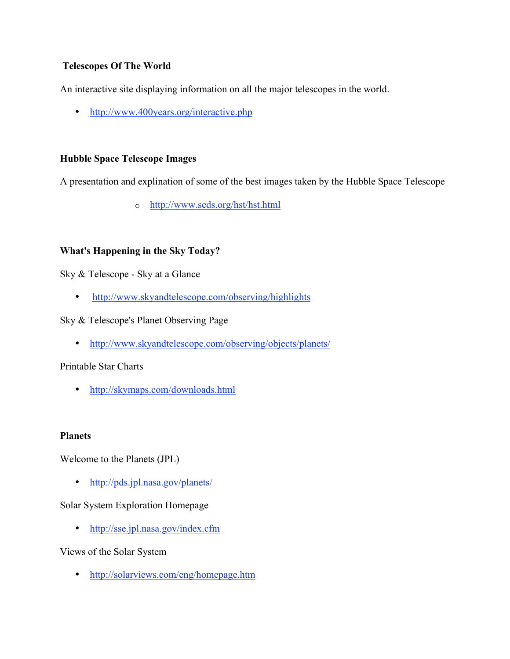## **Telescopes Of The World**

An interactive site displaying information on all the major telescopes in the world.

• http://www.400years.org/interactive.php

## **Hubble Space Telescope Images**

A presentation and explination of some of the best images taken by the Hubble Space Telescope

o http://www.seds.org/hst/hst.html

## **What's Happening in the Sky Today?**

Sky & Telescope - Sky at a Glance

• http://www.skyandtelescope.com/observing/highlights

## Sky & Telescope's Planet Observing Page

• http://www.skyandtelescope.com/observing/objects/planets/

## Printable Star Charts

• http://skymaps.com/downloads.html

## **Planets**

Welcome to the Planets (JPL)

• http://pds.jpl.nasa.gov/planets/

## Solar System Exploration Homepage

• http://sse.jpl.nasa.gov/index.cfm

## Views of the Solar System

• http://solarviews.com/eng/homepage.htm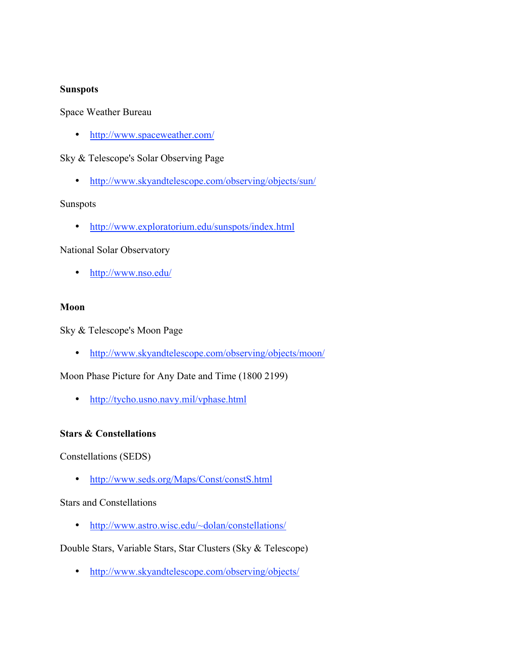#### **Sunspots**

Space Weather Bureau

• http://www.spaceweather.com/

#### Sky & Telescope's Solar Observing Page

• http://www.skyandtelescope.com/observing/objects/sun/

#### Sunspots

• http://www.exploratorium.edu/sunspots/index.html

#### National Solar Observatory

• http://www.nso.edu/

#### **Moon**

Sky & Telescope's Moon Page

• http://www.skyandtelescope.com/observing/objects/moon/

Moon Phase Picture for Any Date and Time (1800 2199)

• http://tycho.usno.navy.mil/vphase.html

#### **Stars & Constellations**

Constellations (SEDS)

• http://www.seds.org/Maps/Const/constS.html

#### Stars and Constellations

• http://www.astro.wisc.edu/~dolan/constellations/

Double Stars, Variable Stars, Star Clusters (Sky & Telescope)

• http://www.skyandtelescope.com/observing/objects/